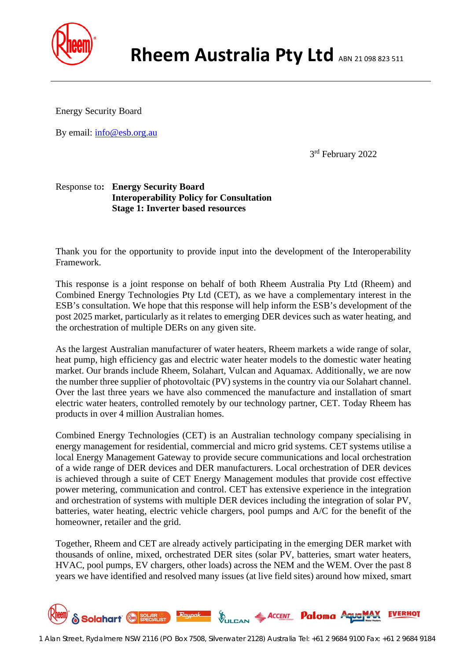

Energy Security Board

By email: [info@esb.org.au](mailto:info@esb.org.au)

3<sup>rd</sup> February 2022

# Response to**: Energy Security Board Interoperability Policy for Consultation Stage 1: Inverter based resources**

Thank you for the opportunity to provide input into the development of the Interoperability Framework.

This response is a joint response on behalf of both Rheem Australia Pty Ltd (Rheem) and Combined Energy Technologies Pty Ltd (CET), as we have a complementary interest in the ESB's consultation. We hope that this response will help inform the ESB's development of the post 2025 market, particularly as it relates to emerging DER devices such as water heating, and the orchestration of multiple DERs on any given site.

As the largest Australian manufacturer of water heaters, Rheem markets a wide range of solar, heat pump, high efficiency gas and electric water heater models to the domestic water heating market. Our brands include Rheem, Solahart, Vulcan and Aquamax. Additionally, we are now the number three supplier of photovoltaic (PV) systems in the country via our Solahart channel. Over the last three years we have also commenced the manufacture and installation of smart electric water heaters, controlled remotely by our technology partner, CET. Today Rheem has products in over 4 million Australian homes.

Combined Energy Technologies (CET) is an Australian technology company specialising in energy management for residential, commercial and micro grid systems. CET systems utilise a local Energy Management Gateway to provide secure communications and local orchestration of a wide range of DER devices and DER manufacturers. Local orchestration of DER devices is achieved through a suite of CET Energy Management modules that provide cost effective power metering, communication and control. CET has extensive experience in the integration and orchestration of systems with multiple DER devices including the integration of solar PV, batteries, water heating, electric vehicle chargers, pool pumps and A/C for the benefit of the homeowner, retailer and the grid.

Together, Rheem and CET are already actively participating in the emerging DER market with thousands of online, mixed, orchestrated DER sites (solar PV, batteries, smart water heaters, HVAC, pool pumps, EV chargers, other loads) across the NEM and the WEM. Over the past 8 years we have identified and resolved many issues (at live field sites) around how mixed, smart

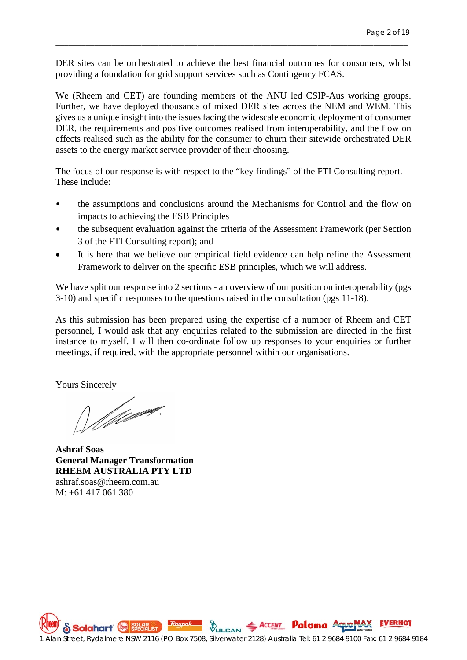DER sites can be orchestrated to achieve the best financial outcomes for consumers, whilst providing a foundation for grid support services such as Contingency FCAS.

\_\_\_\_\_\_\_\_\_\_\_\_\_\_\_\_\_\_\_\_\_\_\_\_\_\_\_\_\_\_\_\_\_\_\_\_\_\_\_\_\_\_\_\_\_\_\_\_\_\_\_\_\_\_\_\_\_\_\_\_\_\_\_\_\_\_\_\_\_\_\_\_\_\_\_\_\_\_\_\_\_\_

We (Rheem and CET) are founding members of the ANU led CSIP-Aus working groups. Further, we have deployed thousands of mixed DER sites across the NEM and WEM. This gives us a unique insight into the issues facing the widescale economic deployment of consumer DER, the requirements and positive outcomes realised from interoperability, and the flow on effects realised such as the ability for the consumer to churn their sitewide orchestrated DER assets to the energy market service provider of their choosing.

The focus of our response is with respect to the "key findings" of the FTI Consulting report. These include:

- the assumptions and conclusions around the Mechanisms for Control and the flow on impacts to achieving the ESB Principles
- the subsequent evaluation against the criteria of the Assessment Framework (per Section 3 of the FTI Consulting report); and
- It is here that we believe our empirical field evidence can help refine the Assessment Framework to deliver on the specific ESB principles, which we will address.

We have split our response into 2 sections - an overview of our position on interoperability (pgs) 3-10) and specific responses to the questions raised in the consultation (pgs 11-18).

As this submission has been prepared using the expertise of a number of Rheem and CET personnel, I would ask that any enquiries related to the submission are directed in the first instance to myself. I will then co-ordinate follow up responses to your enquiries or further meetings, if required, with the appropriate personnel within our organisations.

Yours Sincerely

William.

**Ashraf Soas General Manager Transformation RHEEM AUSTRALIA PTY LTD**  ashraf.soas@rheem.com.au M: +61 417 061 380

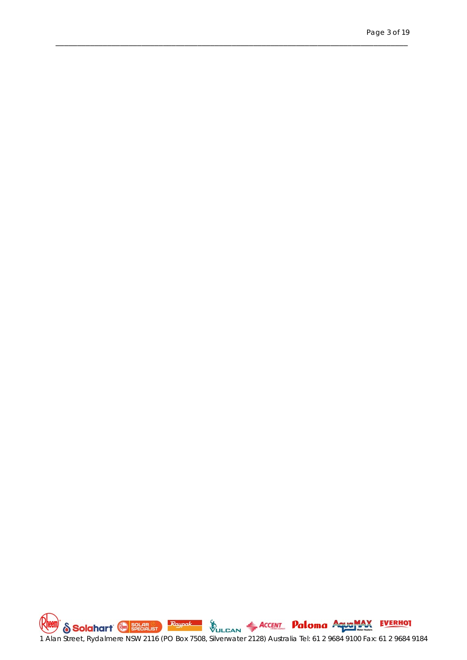

\_\_\_\_\_\_\_\_\_\_\_\_\_\_\_\_\_\_\_\_\_\_\_\_\_\_\_\_\_\_\_\_\_\_\_\_\_\_\_\_\_\_\_\_\_\_\_\_\_\_\_\_\_\_\_\_\_\_\_\_\_\_\_\_\_\_\_\_\_\_\_\_\_\_\_\_\_\_\_\_\_\_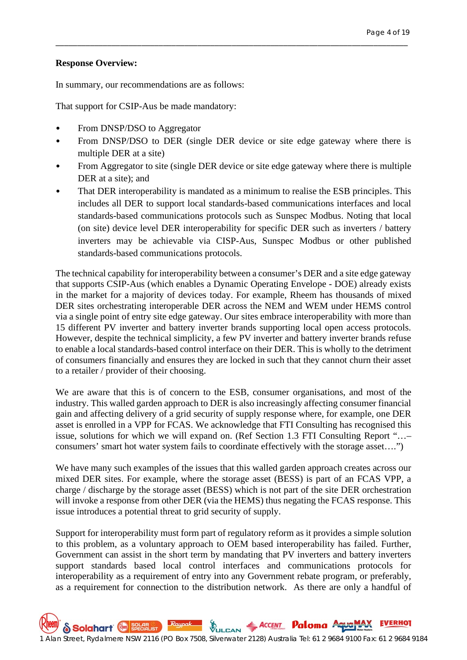#### **Response Overview:**

In summary, our recommendations are as follows:

That support for CSIP-Aus be made mandatory:

- From DNSP/DSO to Aggregator
- From DNSP/DSO to DER (single DER device or site edge gateway where there is multiple DER at a site)

\_\_\_\_\_\_\_\_\_\_\_\_\_\_\_\_\_\_\_\_\_\_\_\_\_\_\_\_\_\_\_\_\_\_\_\_\_\_\_\_\_\_\_\_\_\_\_\_\_\_\_\_\_\_\_\_\_\_\_\_\_\_\_\_\_\_\_\_\_\_\_\_\_\_\_\_\_\_\_\_\_\_

- From Aggregator to site (single DER device or site edge gateway where there is multiple DER at a site); and
- That DER interoperability is mandated as a minimum to realise the ESB principles. This includes all DER to support local standards-based communications interfaces and local standards-based communications protocols such as Sunspec Modbus. Noting that local (on site) device level DER interoperability for specific DER such as inverters / battery inverters may be achievable via CISP-Aus, Sunspec Modbus or other published standards-based communications protocols.

The technical capability for interoperability between a consumer's DER and a site edge gateway that supports CSIP-Aus (which enables a Dynamic Operating Envelope - DOE) already exists in the market for a majority of devices today. For example, Rheem has thousands of mixed DER sites orchestrating interoperable DER across the NEM and WEM under HEMS control via a single point of entry site edge gateway. Our sites embrace interoperability with more than 15 different PV inverter and battery inverter brands supporting local open access protocols. However, despite the technical simplicity, a few PV inverter and battery inverter brands refuse to enable a local standards-based control interface on their DER. This is wholly to the detriment of consumers financially and ensures they are locked in such that they cannot churn their asset to a retailer / provider of their choosing.

We are aware that this is of concern to the ESB, consumer organisations, and most of the industry. This walled garden approach to DER is also increasingly affecting consumer financial gain and affecting delivery of a grid security of supply response where, for example, one DER asset is enrolled in a VPP for FCAS. We acknowledge that FTI Consulting has recognised this issue, solutions for which we will expand on. (Ref Section 1.3 FTI Consulting Report "…– consumers' smart hot water system fails to coordinate effectively with the storage asset….")

We have many such examples of the issues that this walled garden approach creates across our mixed DER sites. For example, where the storage asset (BESS) is part of an FCAS VPP, a charge / discharge by the storage asset (BESS) which is not part of the site DER orchestration will invoke a response from other DER (via the HEMS) thus negating the FCAS response. This issue introduces a potential threat to grid security of supply.

Support for interoperability must form part of regulatory reform as it provides a simple solution to this problem, as a voluntary approach to OEM based interoperability has failed. Further, Government can assist in the short term by mandating that PV inverters and battery inverters support standards based local control interfaces and communications protocols for interoperability as a requirement of entry into any Government rebate program, or preferably, as a requirement for connection to the distribution network. As there are only a handful of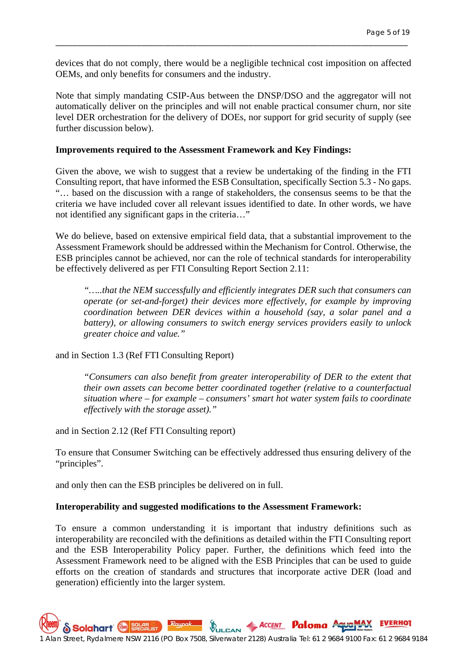devices that do not comply, there would be a negligible technical cost imposition on affected OEMs, and only benefits for consumers and the industry.

\_\_\_\_\_\_\_\_\_\_\_\_\_\_\_\_\_\_\_\_\_\_\_\_\_\_\_\_\_\_\_\_\_\_\_\_\_\_\_\_\_\_\_\_\_\_\_\_\_\_\_\_\_\_\_\_\_\_\_\_\_\_\_\_\_\_\_\_\_\_\_\_\_\_\_\_\_\_\_\_\_\_

Note that simply mandating CSIP-Aus between the DNSP/DSO and the aggregator will not automatically deliver on the principles and will not enable practical consumer churn, nor site level DER orchestration for the delivery of DOEs, nor support for grid security of supply (see further discussion below).

#### **Improvements required to the Assessment Framework and Key Findings:**

Given the above, we wish to suggest that a review be undertaking of the finding in the FTI Consulting report, that have informed the ESB Consultation, specifically Section 5.3 - No gaps. "… based on the discussion with a range of stakeholders, the consensus seems to be that the criteria we have included cover all relevant issues identified to date. In other words, we have not identified any significant gaps in the criteria…"

We do believe, based on extensive empirical field data, that a substantial improvement to the Assessment Framework should be addressed within the Mechanism for Control. Otherwise, the ESB principles cannot be achieved, nor can the role of technical standards for interoperability be effectively delivered as per FTI Consulting Report Section 2.11:

*"…..that the NEM successfully and efficiently integrates DER such that consumers can operate (or set-and-forget) their devices more effectively, for example by improving coordination between DER devices within a household (say, a solar panel and a battery), or allowing consumers to switch energy services providers easily to unlock greater choice and value."*

and in Section 1.3 (Ref FTI Consulting Report)

*"Consumers can also benefit from greater interoperability of DER to the extent that their own assets can become better coordinated together (relative to a counterfactual situation where – for example – consumers' smart hot water system fails to coordinate effectively with the storage asset)."* 

and in Section 2.12 (Ref FTI Consulting report)

To ensure that Consumer Switching can be effectively addressed thus ensuring delivery of the "principles".

and only then can the ESB principles be delivered on in full.

#### **Interoperability and suggested modifications to the Assessment Framework:**

To ensure a common understanding it is important that industry definitions such as interoperability are reconciled with the definitions as detailed within the FTI Consulting report and the ESB Interoperability Policy paper. Further, the definitions which feed into the Assessment Framework need to be aligned with the ESB Principles that can be used to guide efforts on the creation of standards and structures that incorporate active DER (load and generation) efficiently into the larger system.

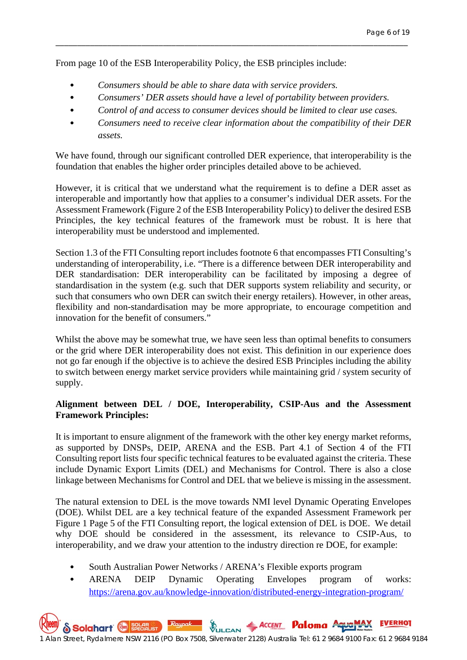From page 10 of the ESB Interoperability Policy, the ESB principles include:

- *Consumers should be able to share data with service providers.*
- *Consumers' DER assets should have a level of portability between providers.*

\_\_\_\_\_\_\_\_\_\_\_\_\_\_\_\_\_\_\_\_\_\_\_\_\_\_\_\_\_\_\_\_\_\_\_\_\_\_\_\_\_\_\_\_\_\_\_\_\_\_\_\_\_\_\_\_\_\_\_\_\_\_\_\_\_\_\_\_\_\_\_\_\_\_\_\_\_\_\_\_\_\_

- *Control of and access to consumer devices should be limited to clear use cases.*
- *Consumers need to receive clear information about the compatibility of their DER assets.*

We have found, through our significant controlled DER experience, that interoperability is the foundation that enables the higher order principles detailed above to be achieved.

However, it is critical that we understand what the requirement is to define a DER asset as interoperable and importantly how that applies to a consumer's individual DER assets. For the Assessment Framework (Figure 2 of the ESB Interoperability Policy) to deliver the desired ESB Principles, the key technical features of the framework must be robust. It is here that interoperability must be understood and implemented.

Section 1.3 of the FTI Consulting report includes footnote 6 that encompasses FTI Consulting's understanding of interoperability, i.e. "There is a difference between DER interoperability and DER standardisation: DER interoperability can be facilitated by imposing a degree of standardisation in the system (e.g. such that DER supports system reliability and security, or such that consumers who own DER can switch their energy retailers). However, in other areas, flexibility and non-standardisation may be more appropriate, to encourage competition and innovation for the benefit of consumers."

Whilst the above may be somewhat true, we have seen less than optimal benefits to consumers or the grid where DER interoperability does not exist. This definition in our experience does not go far enough if the objective is to achieve the desired ESB Principles including the ability to switch between energy market service providers while maintaining grid / system security of supply.

# **Alignment between DEL / DOE, Interoperability, CSIP-Aus and the Assessment Framework Principles:**

It is important to ensure alignment of the framework with the other key energy market reforms, as supported by DNSPs, DEIP, ARENA and the ESB. Part 4.1 of Section 4 of the FTI Consulting report lists four specific technical features to be evaluated against the criteria. These include Dynamic Export Limits (DEL) and Mechanisms for Control. There is also a close linkage between Mechanisms for Control and DEL that we believe is missing in the assessment.

The natural extension to DEL is the move towards NMI level Dynamic Operating Envelopes (DOE). Whilst DEL are a key technical feature of the expanded Assessment Framework per Figure 1 Page 5 of the FTI Consulting report, the logical extension of DEL is DOE. We detail why DOE should be considered in the assessment, its relevance to CSIP-Aus, to interoperability, and we draw your attention to the industry direction re DOE, for example:

- South Australian Power Networks / ARENA's Flexible exports program
- ARENA DEIP Dynamic Operating Envelopes program of works: <https://arena.gov.au/knowledge-innovation/distributed-energy-integration-program/>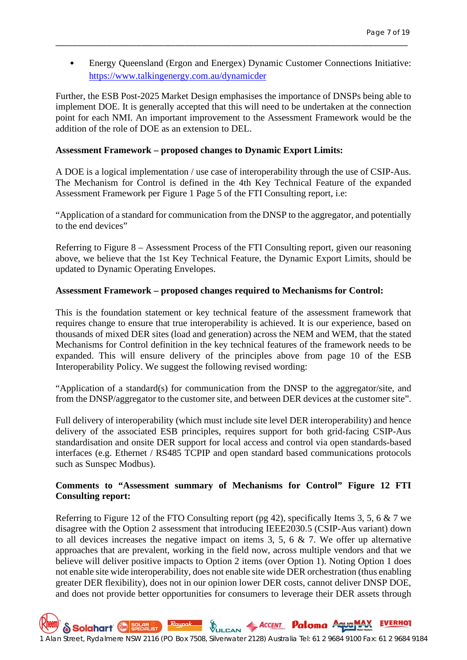• Energy Queensland (Ergon and Energex) Dynamic Customer Connections Initiative: <https://www.talkingenergy.com.au/dynamicder>

\_\_\_\_\_\_\_\_\_\_\_\_\_\_\_\_\_\_\_\_\_\_\_\_\_\_\_\_\_\_\_\_\_\_\_\_\_\_\_\_\_\_\_\_\_\_\_\_\_\_\_\_\_\_\_\_\_\_\_\_\_\_\_\_\_\_\_\_\_\_\_\_\_\_\_\_\_\_\_\_\_\_

Further, the ESB Post-2025 Market Design emphasises the importance of DNSPs being able to implement DOE. It is generally accepted that this will need to be undertaken at the connection point for each NMI. An important improvement to the Assessment Framework would be the addition of the role of DOE as an extension to DEL.

#### **Assessment Framework – proposed changes to Dynamic Export Limits:**

A DOE is a logical implementation / use case of interoperability through the use of CSIP-Aus. The Mechanism for Control is defined in the 4th Key Technical Feature of the expanded Assessment Framework per Figure 1 Page 5 of the FTI Consulting report, i.e:

"Application of a standard for communication from the DNSP to the aggregator, and potentially to the end devices"

Referring to Figure 8 – Assessment Process of the FTI Consulting report, given our reasoning above, we believe that the 1st Key Technical Feature, the Dynamic Export Limits, should be updated to Dynamic Operating Envelopes.

#### **Assessment Framework – proposed changes required to Mechanisms for Control:**

This is the foundation statement or key technical feature of the assessment framework that requires change to ensure that true interoperability is achieved. It is our experience, based on thousands of mixed DER sites (load and generation) across the NEM and WEM, that the stated Mechanisms for Control definition in the key technical features of the framework needs to be expanded. This will ensure delivery of the principles above from page 10 of the ESB Interoperability Policy. We suggest the following revised wording:

"Application of a standard(s) for communication from the DNSP to the aggregator/site, and from the DNSP/aggregator to the customer site, and between DER devices at the customer site".

Full delivery of interoperability (which must include site level DER interoperability) and hence delivery of the associated ESB principles, requires support for both grid-facing CSIP-Aus standardisation and onsite DER support for local access and control via open standards-based interfaces (e.g. Ethernet / RS485 TCPIP and open standard based communications protocols such as Sunspec Modbus).

# **Comments to "Assessment summary of Mechanisms for Control" Figure 12 FTI Consulting report:**

Referring to Figure 12 of the FTO Consulting report (pg 42), specifically Items 3, 5, 6 & 7 we disagree with the Option 2 assessment that introducing IEEE2030.5 (CSIP-Aus variant) down to all devices increases the negative impact on items 3, 5, 6  $\&$  7. We offer up alternative approaches that are prevalent, working in the field now, across multiple vendors and that we believe will deliver positive impacts to Option 2 items (over Option 1). Noting Option 1 does not enable site wide interoperability, does not enable site wide DER orchestration (thus enabling greater DER flexibility), does not in our opinion lower DER costs, cannot deliver DNSP DOE, and does not provide better opportunities for consumers to leverage their DER assets through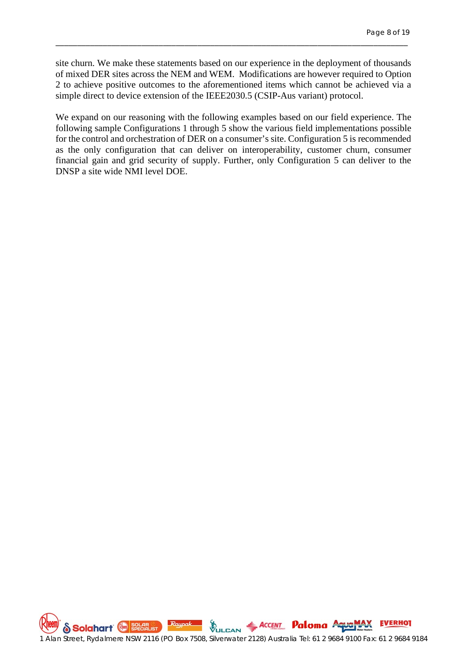site churn. We make these statements based on our experience in the deployment of thousands of mixed DER sites across the NEM and WEM. Modifications are however required to Option 2 to achieve positive outcomes to the aforementioned items which cannot be achieved via a simple direct to device extension of the IEEE2030.5 (CSIP-Aus variant) protocol.

\_\_\_\_\_\_\_\_\_\_\_\_\_\_\_\_\_\_\_\_\_\_\_\_\_\_\_\_\_\_\_\_\_\_\_\_\_\_\_\_\_\_\_\_\_\_\_\_\_\_\_\_\_\_\_\_\_\_\_\_\_\_\_\_\_\_\_\_\_\_\_\_\_\_\_\_\_\_\_\_\_\_

We expand on our reasoning with the following examples based on our field experience. The following sample Configurations 1 through 5 show the various field implementations possible for the control and orchestration of DER on a consumer's site. Configuration 5 is recommended as the only configuration that can deliver on interoperability, customer churn, consumer financial gain and grid security of supply. Further, only Configuration 5 can deliver to the DNSP a site wide NMI level DOE.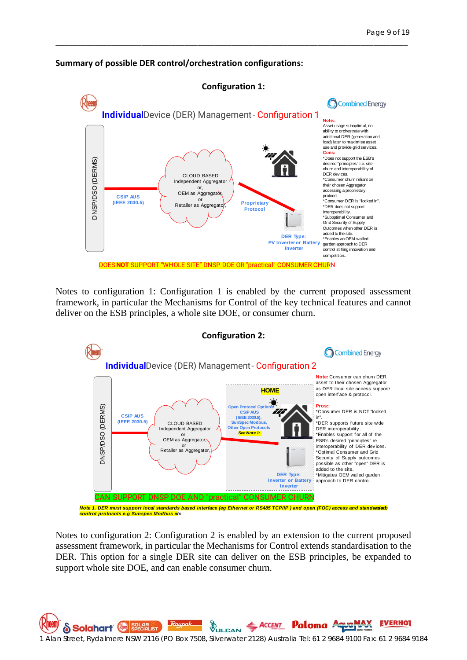#### **Summary of possible DER control/orchestration configurations:**



\_\_\_\_\_\_\_\_\_\_\_\_\_\_\_\_\_\_\_\_\_\_\_\_\_\_\_\_\_\_\_\_\_\_\_\_\_\_\_\_\_\_\_\_\_\_\_\_\_\_\_\_\_\_\_\_\_\_\_\_\_\_\_\_\_\_\_\_\_\_\_\_\_\_\_\_\_\_\_\_\_\_

Notes to configuration 1: Configuration 1 is enabled by the current proposed assessment framework, in particular the Mechanisms for Control of the key technical features and cannot deliver on the ESB principles, a whole site DOE, or consumer churn.



Notes to configuration 2: Configuration 2 is enabled by an extension to the current proposed assessment framework, in particular the Mechanisms for Control extends standardisation to the DER. This option for a single DER site can deliver on the ESB principles, be expanded to support whole site DOE, and can enable consumer churn.

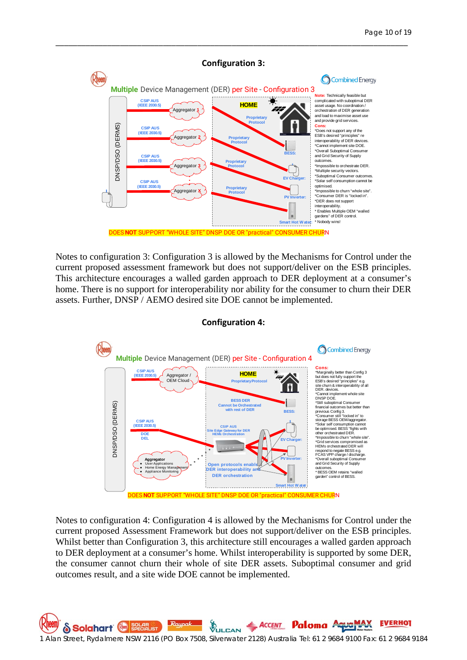

\_\_\_\_\_\_\_\_\_\_\_\_\_\_\_\_\_\_\_\_\_\_\_\_\_\_\_\_\_\_\_\_\_\_\_\_\_\_\_\_\_\_\_\_\_\_\_\_\_\_\_\_\_\_\_\_\_\_\_\_\_\_\_\_\_\_\_\_\_\_\_\_\_\_\_\_\_\_\_\_\_\_

Notes to configuration 3: Configuration 3 is allowed by the Mechanisms for Control under the current proposed assessment framework but does not support/deliver on the ESB principles. This architecture encourages a walled garden approach to DER deployment at a consumer's home. There is no support for interoperability nor ability for the consumer to churn their DER assets. Further, DNSP / AEMO desired site DOE cannot be implemented.



**Configuration 4:**

Notes to configuration 4: Configuration 4 is allowed by the Mechanisms for Control under the current proposed Assessment Framework but does not support/deliver on the ESB principles. Whilst better than Configuration 3, this architecture still encourages a walled garden approach to DER deployment at a consumer's home. Whilst interoperability is supported by some DER, the consumer cannot churn their whole of site DER assets. Suboptimal consumer and grid outcomes result, and a site wide DOE cannot be implemented.

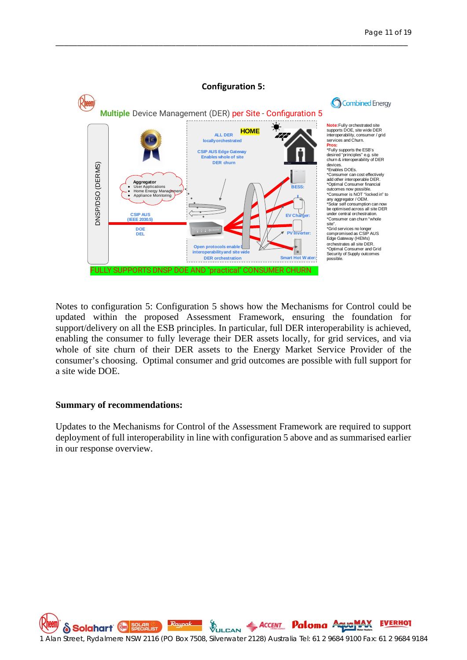

\_\_\_\_\_\_\_\_\_\_\_\_\_\_\_\_\_\_\_\_\_\_\_\_\_\_\_\_\_\_\_\_\_\_\_\_\_\_\_\_\_\_\_\_\_\_\_\_\_\_\_\_\_\_\_\_\_\_\_\_\_\_\_\_\_\_\_\_\_\_\_\_\_\_\_\_\_\_\_\_\_\_

Notes to configuration 5: Configuration 5 shows how the Mechanisms for Control could be updated within the proposed Assessment Framework, ensuring the foundation for support/delivery on all the ESB principles. In particular, full DER interoperability is achieved, enabling the consumer to fully leverage their DER assets locally, for grid services, and via whole of site churn of their DER assets to the Energy Market Service Provider of the consumer's choosing. Optimal consumer and grid outcomes are possible with full support for a site wide DOE.

#### **Summary of recommendations:**

Updates to the Mechanisms for Control of the Assessment Framework are required to support deployment of full interoperability in line with configuration 5 above and as summarised earlier in our response overview.

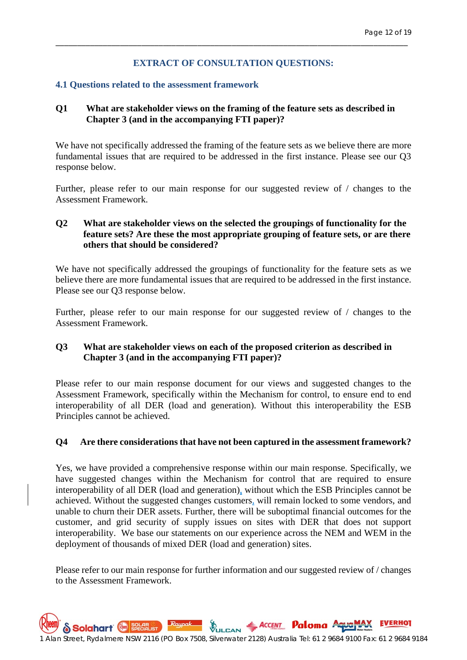#### **EXTRACT OF CONSULTATION QUESTIONS:**

\_\_\_\_\_\_\_\_\_\_\_\_\_\_\_\_\_\_\_\_\_\_\_\_\_\_\_\_\_\_\_\_\_\_\_\_\_\_\_\_\_\_\_\_\_\_\_\_\_\_\_\_\_\_\_\_\_\_\_\_\_\_\_\_\_\_\_\_\_\_\_\_\_\_\_\_\_\_\_\_\_\_

#### **4.1 Questions related to the assessment framework**

#### **Q1 What are stakeholder views on the framing of the feature sets as described in Chapter 3 (and in the accompanying FTI paper)?**

We have not specifically addressed the framing of the feature sets as we believe there are more fundamental issues that are required to be addressed in the first instance. Please see our Q3 response below.

Further, please refer to our main response for our suggested review of / changes to the Assessment Framework.

# **Q2 What are stakeholder views on the selected the groupings of functionality for the feature sets? Are these the most appropriate grouping of feature sets, or are there others that should be considered?**

We have not specifically addressed the groupings of functionality for the feature sets as we believe there are more fundamental issues that are required to be addressed in the first instance. Please see our Q3 response below.

Further, please refer to our main response for our suggested review of / changes to the Assessment Framework.

# **Q3 What are stakeholder views on each of the proposed criterion as described in Chapter 3 (and in the accompanying FTI paper)?**

Please refer to our main response document for our views and suggested changes to the Assessment Framework, specifically within the Mechanism for control, to ensure end to end interoperability of all DER (load and generation). Without this interoperability the ESB Principles cannot be achieved.

#### **Q4 Are there considerations that have not been captured in the assessment framework?**

Yes, we have provided a comprehensive response within our main response. Specifically, we have suggested changes within the Mechanism for control that are required to ensure interoperability of all DER (load and generation), without which the ESB Principles cannot be achieved. Without the suggested changes customers, will remain locked to some vendors, and unable to churn their DER assets. Further, there will be suboptimal financial outcomes for the customer, and grid security of supply issues on sites with DER that does not support interoperability. We base our statements on our experience across the NEM and WEM in the deployment of thousands of mixed DER (load and generation) sites.

Please refer to our main response for further information and our suggested review of / changes to the Assessment Framework.

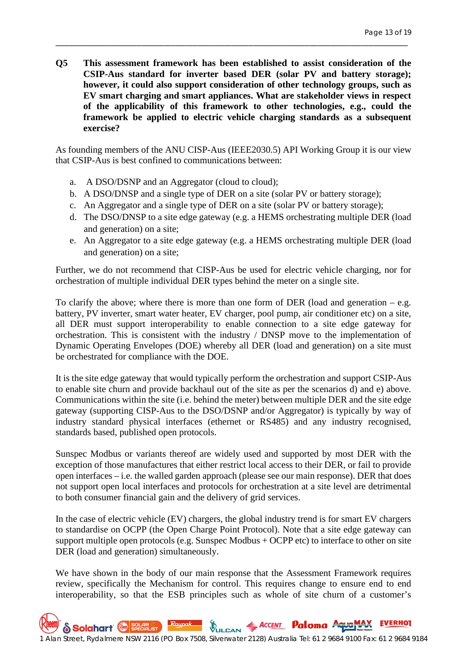**Q5 This assessment framework has been established to assist consideration of the CSIP-Aus standard for inverter based DER (solar PV and battery storage); however, it could also support consideration of other technology groups, such as EV smart charging and smart appliances. What are stakeholder views in respect of the applicability of this framework to other technologies, e.g., could the framework be applied to electric vehicle charging standards as a subsequent exercise?**

\_\_\_\_\_\_\_\_\_\_\_\_\_\_\_\_\_\_\_\_\_\_\_\_\_\_\_\_\_\_\_\_\_\_\_\_\_\_\_\_\_\_\_\_\_\_\_\_\_\_\_\_\_\_\_\_\_\_\_\_\_\_\_\_\_\_\_\_\_\_\_\_\_\_\_\_\_\_\_\_\_\_

As founding members of the ANU CISP-Aus (IEEE2030.5) API Working Group it is our view that CSIP-Aus is best confined to communications between:

- a. A DSO/DSNP and an Aggregator (cloud to cloud);
- b. A DSO/DNSP and a single type of DER on a site (solar PV or battery storage);
- c. An Aggregator and a single type of DER on a site (solar PV or battery storage);
- d. The DSO/DNSP to a site edge gateway (e.g. a HEMS orchestrating multiple DER (load and generation) on a site;
- e. An Aggregator to a site edge gateway (e.g. a HEMS orchestrating multiple DER (load and generation) on a site;

Further, we do not recommend that CISP-Aus be used for electric vehicle charging, nor for orchestration of multiple individual DER types behind the meter on a single site.

To clarify the above; where there is more than one form of DER (load and generation  $-$  e.g. battery, PV inverter, smart water heater, EV charger, pool pump, air conditioner etc) on a site, all DER must support interoperability to enable connection to a site edge gateway for orchestration. This is consistent with the industry / DNSP move to the implementation of Dynamic Operating Envelopes (DOE) whereby all DER (load and generation) on a site must be orchestrated for compliance with the DOE.

It is the site edge gateway that would typically perform the orchestration and support CSIP-Aus to enable site churn and provide backhaul out of the site as per the scenarios d) and e) above. Communications within the site (i.e. behind the meter) between multiple DER and the site edge gateway (supporting CISP-Aus to the DSO/DSNP and/or Aggregator) is typically by way of industry standard physical interfaces (ethernet or RS485) and any industry recognised, standards based, published open protocols.

Sunspec Modbus or variants thereof are widely used and supported by most DER with the exception of those manufactures that either restrict local access to their DER, or fail to provide open interfaces – i.e. the walled garden approach (please see our main response). DER that does not support open local interfaces and protocols for orchestration at a site level are detrimental to both consumer financial gain and the delivery of grid services.

In the case of electric vehicle (EV) chargers, the global industry trend is for smart EV chargers to standardise on OCPP (the Open Charge Point Protocol). Note that a site edge gateway can support multiple open protocols (e.g. Sunspec Modbus  $+$  OCPP etc) to interface to other on site DER (load and generation) simultaneously.

We have shown in the body of our main response that the Assessment Framework requires review, specifically the Mechanism for control. This requires change to ensure end to end interoperability, so that the ESB principles such as whole of site churn of a customer's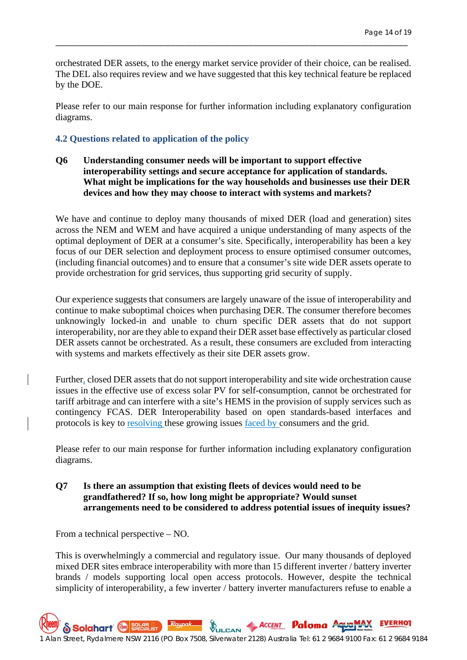orchestrated DER assets, to the energy market service provider of their choice, can be realised. The DEL also requires review and we have suggested that this key technical feature be replaced by the DOE.

\_\_\_\_\_\_\_\_\_\_\_\_\_\_\_\_\_\_\_\_\_\_\_\_\_\_\_\_\_\_\_\_\_\_\_\_\_\_\_\_\_\_\_\_\_\_\_\_\_\_\_\_\_\_\_\_\_\_\_\_\_\_\_\_\_\_\_\_\_\_\_\_\_\_\_\_\_\_\_\_\_\_

Please refer to our main response for further information including explanatory configuration diagrams.

#### **4.2 Questions related to application of the policy**

**Q6 Understanding consumer needs will be important to support effective interoperability settings and secure acceptance for application of standards. What might be implications for the way households and businesses use their DER devices and how they may choose to interact with systems and markets?** 

We have and continue to deploy many thousands of mixed DER (load and generation) sites across the NEM and WEM and have acquired a unique understanding of many aspects of the optimal deployment of DER at a consumer's site. Specifically, interoperability has been a key focus of our DER selection and deployment process to ensure optimised consumer outcomes, (including financial outcomes) and to ensure that a consumer's site wide DER assets operate to provide orchestration for grid services, thus supporting grid security of supply.

Our experience suggests that consumers are largely unaware of the issue of interoperability and continue to make suboptimal choices when purchasing DER. The consumer therefore becomes unknowingly locked-in and unable to churn specific DER assets that do not support interoperability, nor are they able to expand their DER asset base effectively as particular closed DER assets cannot be orchestrated. As a result, these consumers are excluded from interacting with systems and markets effectively as their site DER assets grow.

Further, closed DER assets that do not support interoperability and site wide orchestration cause issues in the effective use of excess solar PV for self-consumption, cannot be orchestrated for tariff arbitrage and can interfere with a site's HEMS in the provision of supply services such as contingency FCAS. DER Interoperability based on open standards-based interfaces and protocols is key to resolving these growing issues faced by consumers and the grid.

Please refer to our main response for further information including explanatory configuration diagrams.

# **Q7 Is there an assumption that existing fleets of devices would need to be grandfathered? If so, how long might be appropriate? Would sunset arrangements need to be considered to address potential issues of inequity issues?**

From a technical perspective – NO.

This is overwhelmingly a commercial and regulatory issue. Our many thousands of deployed mixed DER sites embrace interoperability with more than 15 different inverter / battery inverter brands / models supporting local open access protocols. However, despite the technical simplicity of interoperability, a few inverter / battery inverter manufacturers refuse to enable a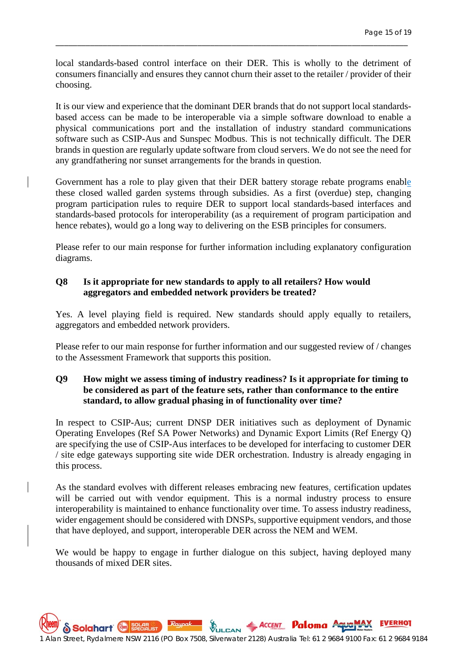local standards-based control interface on their DER. This is wholly to the detriment of consumers financially and ensures they cannot churn their asset to the retailer / provider of their choosing.

\_\_\_\_\_\_\_\_\_\_\_\_\_\_\_\_\_\_\_\_\_\_\_\_\_\_\_\_\_\_\_\_\_\_\_\_\_\_\_\_\_\_\_\_\_\_\_\_\_\_\_\_\_\_\_\_\_\_\_\_\_\_\_\_\_\_\_\_\_\_\_\_\_\_\_\_\_\_\_\_\_\_

It is our view and experience that the dominant DER brands that do not support local standardsbased access can be made to be interoperable via a simple software download to enable a physical communications port and the installation of industry standard communications software such as CSIP-Aus and Sunspec Modbus. This is not technically difficult. The DER brands in question are regularly update software from cloud servers. We do not see the need for any grandfathering nor sunset arrangements for the brands in question.

Government has a role to play given that their DER battery storage rebate programs enable these closed walled garden systems through subsidies. As a first (overdue) step, changing program participation rules to require DER to support local standards-based interfaces and standards-based protocols for interoperability (as a requirement of program participation and hence rebates), would go a long way to delivering on the ESB principles for consumers.

Please refer to our main response for further information including explanatory configuration diagrams.

# **Q8 Is it appropriate for new standards to apply to all retailers? How would aggregators and embedded network providers be treated?**

Yes. A level playing field is required. New standards should apply equally to retailers, aggregators and embedded network providers.

Please refer to our main response for further information and our suggested review of / changes to the Assessment Framework that supports this position.

# **Q9 How might we assess timing of industry readiness? Is it appropriate for timing to be considered as part of the feature sets, rather than conformance to the entire standard, to allow gradual phasing in of functionality over time?**

In respect to CSIP-Aus; current DNSP DER initiatives such as deployment of Dynamic Operating Envelopes (Ref SA Power Networks) and Dynamic Export Limits (Ref Energy Q) are specifying the use of CSIP-Aus interfaces to be developed for interfacing to customer DER / site edge gateways supporting site wide DER orchestration. Industry is already engaging in this process.

As the standard evolves with different releases embracing new features, certification updates will be carried out with vendor equipment. This is a normal industry process to ensure interoperability is maintained to enhance functionality over time. To assess industry readiness, wider engagement should be considered with DNSPs, supportive equipment vendors, and those that have deployed, and support, interoperable DER across the NEM and WEM.

We would be happy to engage in further dialogue on this subject, having deployed many thousands of mixed DER sites.

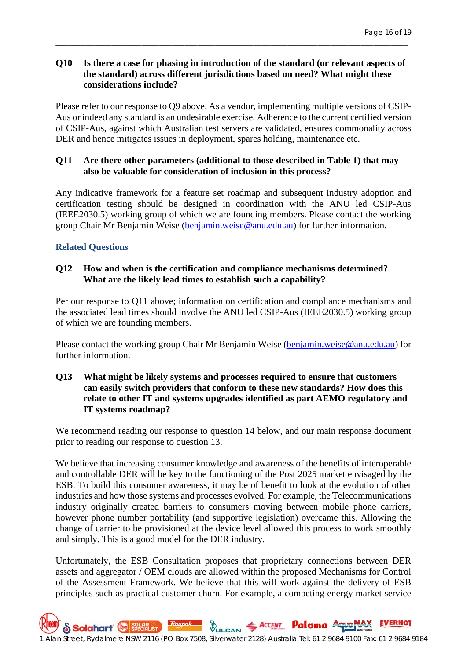#### **Q10 Is there a case for phasing in introduction of the standard (or relevant aspects of the standard) across different jurisdictions based on need? What might these considerations include?**

\_\_\_\_\_\_\_\_\_\_\_\_\_\_\_\_\_\_\_\_\_\_\_\_\_\_\_\_\_\_\_\_\_\_\_\_\_\_\_\_\_\_\_\_\_\_\_\_\_\_\_\_\_\_\_\_\_\_\_\_\_\_\_\_\_\_\_\_\_\_\_\_\_\_\_\_\_\_\_\_\_\_

Please refer to our response to Q9 above. As a vendor, implementing multiple versions of CSIP-Aus or indeed any standard is an undesirable exercise. Adherence to the current certified version of CSIP-Aus, against which Australian test servers are validated, ensures commonality across DER and hence mitigates issues in deployment, spares holding, maintenance etc.

#### **Q11 Are there other parameters (additional to those described in Table 1) that may also be valuable for consideration of inclusion in this process?**

Any indicative framework for a feature set roadmap and subsequent industry adoption and certification testing should be designed in coordination with the ANU led CSIP-Aus (IEEE2030.5) working group of which we are founding members. Please contact the working group Chair Mr Benjamin Weise [\(benjamin.weise@anu.edu.au\)](mailto:benjamin.weise@anu.edu.au) for further information.

# **Related Questions**

# **Q12 How and when is the certification and compliance mechanisms determined? What are the likely lead times to establish such a capability?**

Per our response to Q11 above; information on certification and compliance mechanisms and the associated lead times should involve the ANU led CSIP-Aus (IEEE2030.5) working group of which we are founding members.

Please contact the working group Chair Mr Benjamin Weise [\(benjamin.weise@anu.edu.au\)](mailto:benjamin.weise@anu.edu.au) for further information.

# **Q13 What might be likely systems and processes required to ensure that customers can easily switch providers that conform to these new standards? How does this relate to other IT and systems upgrades identified as part AEMO regulatory and IT systems roadmap?**

We recommend reading our response to question 14 below, and our main response document prior to reading our response to question 13.

We believe that increasing consumer knowledge and awareness of the benefits of interoperable and controllable DER will be key to the functioning of the Post 2025 market envisaged by the ESB. To build this consumer awareness, it may be of benefit to look at the evolution of other industries and how those systems and processes evolved. For example, the Telecommunications industry originally created barriers to consumers moving between mobile phone carriers, however phone number portability (and supportive legislation) overcame this. Allowing the change of carrier to be provisioned at the device level allowed this process to work smoothly and simply. This is a good model for the DER industry.

Unfortunately, the ESB Consultation proposes that proprietary connections between DER assets and aggregator / OEM clouds are allowed within the proposed Mechanisms for Control of the Assessment Framework. We believe that this will work against the delivery of ESB principles such as practical customer churn. For example, a competing energy market service

1 Alan Street, Rydalmere NSW 2116 (PO Box 7508, Silverwater 2128) Australia Tel: 61 2 9684 9100 Fax: 61 2 9684 9184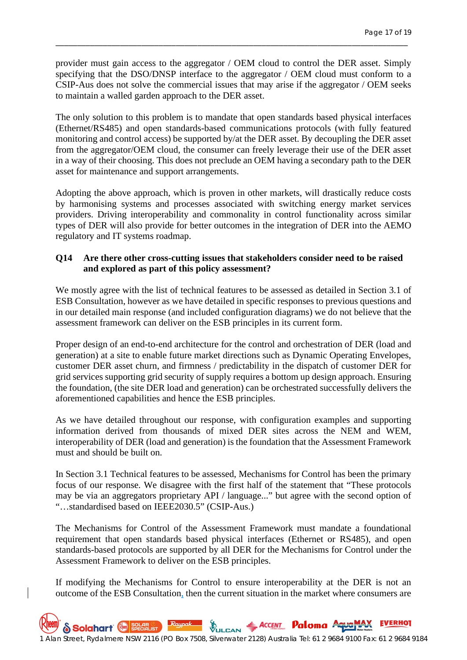provider must gain access to the aggregator / OEM cloud to control the DER asset. Simply specifying that the DSO/DNSP interface to the aggregator / OEM cloud must conform to a CSIP-Aus does not solve the commercial issues that may arise if the aggregator / OEM seeks to maintain a walled garden approach to the DER asset.

\_\_\_\_\_\_\_\_\_\_\_\_\_\_\_\_\_\_\_\_\_\_\_\_\_\_\_\_\_\_\_\_\_\_\_\_\_\_\_\_\_\_\_\_\_\_\_\_\_\_\_\_\_\_\_\_\_\_\_\_\_\_\_\_\_\_\_\_\_\_\_\_\_\_\_\_\_\_\_\_\_\_

The only solution to this problem is to mandate that open standards based physical interfaces (Ethernet/RS485) and open standards-based communications protocols (with fully featured monitoring and control access) be supported by/at the DER asset. By decoupling the DER asset from the aggregator/OEM cloud, the consumer can freely leverage their use of the DER asset in a way of their choosing. This does not preclude an OEM having a secondary path to the DER asset for maintenance and support arrangements.

Adopting the above approach, which is proven in other markets, will drastically reduce costs by harmonising systems and processes associated with switching energy market services providers. Driving interoperability and commonality in control functionality across similar types of DER will also provide for better outcomes in the integration of DER into the AEMO regulatory and IT systems roadmap.

# **Q14 Are there other cross-cutting issues that stakeholders consider need to be raised and explored as part of this policy assessment?**

We mostly agree with the list of technical features to be assessed as detailed in Section 3.1 of ESB Consultation, however as we have detailed in specific responses to previous questions and in our detailed main response (and included configuration diagrams) we do not believe that the assessment framework can deliver on the ESB principles in its current form.

Proper design of an end-to-end architecture for the control and orchestration of DER (load and generation) at a site to enable future market directions such as Dynamic Operating Envelopes, customer DER asset churn, and firmness / predictability in the dispatch of customer DER for grid services supporting grid security of supply requires a bottom up design approach. Ensuring the foundation, (the site DER load and generation) can be orchestrated successfully delivers the aforementioned capabilities and hence the ESB principles.

As we have detailed throughout our response, with configuration examples and supporting information derived from thousands of mixed DER sites across the NEM and WEM, interoperability of DER (load and generation) is the foundation that the Assessment Framework must and should be built on.

In Section 3.1 Technical features to be assessed, Mechanisms for Control has been the primary focus of our response. We disagree with the first half of the statement that "These protocols may be via an aggregators proprietary API / language..." but agree with the second option of "…standardised based on IEEE2030.5" (CSIP-Aus.)

The Mechanisms for Control of the Assessment Framework must mandate a foundational requirement that open standards based physical interfaces (Ethernet or RS485), and open standards-based protocols are supported by all DER for the Mechanisms for Control under the Assessment Framework to deliver on the ESB principles.

If modifying the Mechanisms for Control to ensure interoperability at the DER is not an outcome of the ESB Consultation, then the current situation in the market where consumers are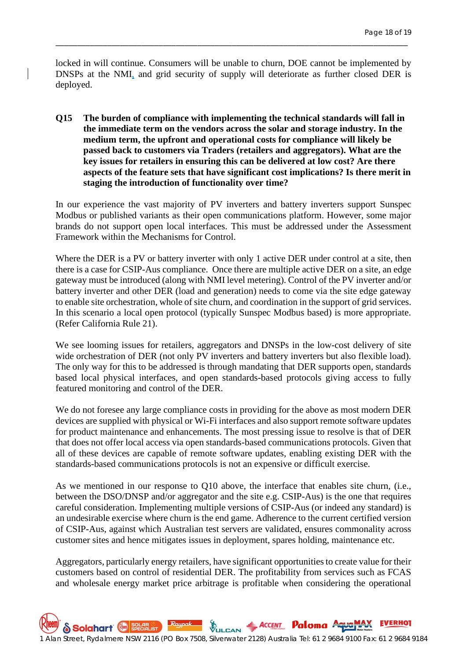locked in will continue. Consumers will be unable to churn, DOE cannot be implemented by DNSPs at the NMI, and grid security of supply will deteriorate as further closed DER is deployed.

\_\_\_\_\_\_\_\_\_\_\_\_\_\_\_\_\_\_\_\_\_\_\_\_\_\_\_\_\_\_\_\_\_\_\_\_\_\_\_\_\_\_\_\_\_\_\_\_\_\_\_\_\_\_\_\_\_\_\_\_\_\_\_\_\_\_\_\_\_\_\_\_\_\_\_\_\_\_\_\_\_\_

**Q15 The burden of compliance with implementing the technical standards will fall in the immediate term on the vendors across the solar and storage industry. In the medium term, the upfront and operational costs for compliance will likely be passed back to customers via Traders (retailers and aggregators). What are the key issues for retailers in ensuring this can be delivered at low cost? Are there aspects of the feature sets that have significant cost implications? Is there merit in staging the introduction of functionality over time?** 

In our experience the vast majority of PV inverters and battery inverters support Sunspec Modbus or published variants as their open communications platform. However, some major brands do not support open local interfaces. This must be addressed under the Assessment Framework within the Mechanisms for Control.

Where the DER is a PV or battery inverter with only 1 active DER under control at a site, then there is a case for CSIP-Aus compliance. Once there are multiple active DER on a site, an edge gateway must be introduced (along with NMI level metering). Control of the PV inverter and/or battery inverter and other DER (load and generation) needs to come via the site edge gateway to enable site orchestration, whole of site churn, and coordination in the support of grid services. In this scenario a local open protocol (typically Sunspec Modbus based) is more appropriate. (Refer California Rule 21).

We see looming issues for retailers, aggregators and DNSPs in the low-cost delivery of site wide orchestration of DER (not only PV inverters and battery inverters but also flexible load). The only way for this to be addressed is through mandating that DER supports open, standards based local physical interfaces, and open standards-based protocols giving access to fully featured monitoring and control of the DER.

We do not foresee any large compliance costs in providing for the above as most modern DER devices are supplied with physical or Wi-Fi interfaces and also support remote software updates for product maintenance and enhancements. The most pressing issue to resolve is that of DER that does not offer local access via open standards-based communications protocols. Given that all of these devices are capable of remote software updates, enabling existing DER with the standards-based communications protocols is not an expensive or difficult exercise.

As we mentioned in our response to Q10 above, the interface that enables site churn, (i.e., between the DSO/DNSP and/or aggregator and the site e.g. CSIP-Aus) is the one that requires careful consideration. Implementing multiple versions of CSIP-Aus (or indeed any standard) is an undesirable exercise where churn is the end game. Adherence to the current certified version of CSIP-Aus, against which Australian test servers are validated, ensures commonality across customer sites and hence mitigates issues in deployment, spares holding, maintenance etc.

Aggregators, particularly energy retailers, have significant opportunities to create value for their customers based on control of residential DER. The profitability from services such as FCAS and wholesale energy market price arbitrage is profitable when considering the operational